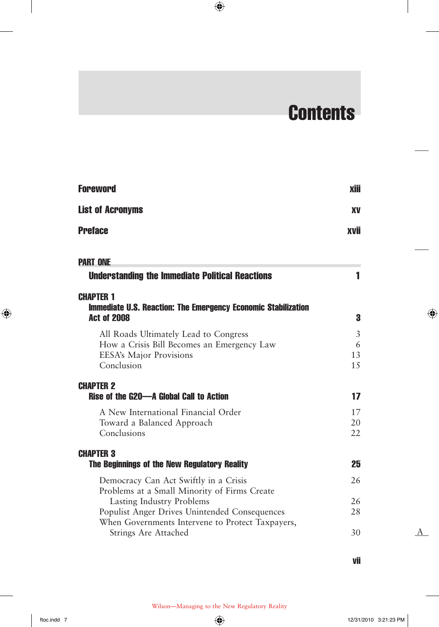## **Contents**

T

| <b>Foreword</b><br><b>List of Acronyms</b>                                                                                          |                    |
|-------------------------------------------------------------------------------------------------------------------------------------|--------------------|
|                                                                                                                                     |                    |
| <b>PART ONE</b>                                                                                                                     |                    |
| <b>Understanding the Immediate Political Reactions</b>                                                                              | 1                  |
| <b>CHAPTER 1</b><br><b>Immediate U.S. Reaction: The Emergency Economic Stabilization</b><br><b>Act of 2008</b>                      | 3                  |
| All Roads Ultimately Lead to Congress<br>How a Crisis Bill Becomes an Emergency Law<br><b>EESA's Major Provisions</b><br>Conclusion | 3<br>6<br>13<br>15 |
| <b>CHAPTER 2</b><br>Rise of the G20-A Global Call to Action                                                                         | 17                 |
| A New International Financial Order<br>Toward a Balanced Approach<br>Conclusions                                                    | 17<br>20<br>22     |
| <b>CHAPTER 3</b><br>The Beginnings of the New Regulatory Reality                                                                    | 25                 |
| Democracy Can Act Swiftly in a Crisis<br>Problems at a Small Minority of Firms Create                                               | 26                 |
| Lasting Industry Problems<br>Populist Anger Drives Unintended Consequences<br>When Governments Intervene to Protect Taxpayers,      | 26<br>28           |
| Strings Are Attached                                                                                                                | 30                 |

 $\bigoplus$ 

vii

 $A$ 

 $\bigoplus$ 

 $\overline{\phantom{a}}$ 

 $\bigoplus$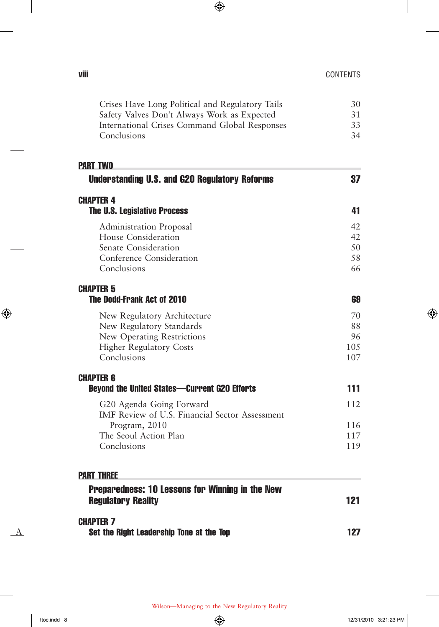| <b>A100</b><br>Viii | <b>CONTENTS</b> |
|---------------------|-----------------|
|                     |                 |

 $\overline{\phantom{a}}$ 

 $\bigoplus$ 

| Crises Have Long Political and Regulatory Tails<br>Safety Valves Don't Always Work as Expected<br>International Crises Command Global Responses<br>Conclusions | 30<br>31<br>33<br>34 |
|----------------------------------------------------------------------------------------------------------------------------------------------------------------|----------------------|
|                                                                                                                                                                |                      |
| <b>PART TWO</b>                                                                                                                                                |                      |
| <b>Understanding U.S. and G20 Regulatory Reforms</b>                                                                                                           | 37                   |
| <b>CHAPTER 4</b><br><b>The U.S. Legislative Process</b>                                                                                                        | 41                   |
| Administration Proposal                                                                                                                                        | 42                   |
| House Consideration<br>Senate Consideration                                                                                                                    | 42<br>50             |
| Conference Consideration                                                                                                                                       | 58                   |
| Conclusions                                                                                                                                                    | 66                   |
| <b>CHAPTER 5</b>                                                                                                                                               |                      |
| <b>The Dodd-Frank Act of 2010</b>                                                                                                                              | 69                   |
| New Regulatory Architecture                                                                                                                                    | 70                   |
| New Regulatory Standards                                                                                                                                       | 88                   |
| New Operating Restrictions<br><b>Higher Regulatory Costs</b>                                                                                                   | 96<br>105            |
| Conclusions                                                                                                                                                    | 107                  |
| <b>CHAPTER 6</b>                                                                                                                                               |                      |
| <b>Beyond the United States-Current G20 Efforts</b>                                                                                                            | 111                  |
| G20 Agenda Going Forward<br>IMF Review of U.S. Financial Sector Assessment                                                                                     | 112                  |
| Program, 2010                                                                                                                                                  | 116                  |
| The Seoul Action Plan                                                                                                                                          | 117                  |
| Conclusions                                                                                                                                                    | 119                  |
| <b>PART THREE</b>                                                                                                                                              |                      |
| Preparedness: 10 Lessons for Winning in the New<br><b>Regulatory Reality</b>                                                                                   | 121                  |
| CHAPTER 7<br>Set the Right Leadership Tone at the Top                                                                                                          | 127                  |

A

 $\bigoplus$ 

 $\overline{\phantom{a}}$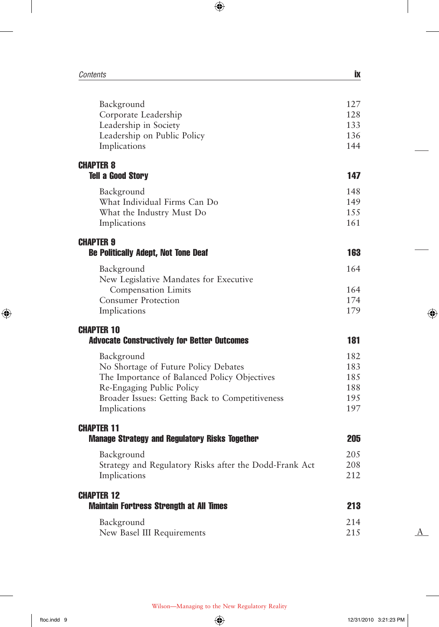| Contents                                                                                                                                                                                           | İХ                                     |
|----------------------------------------------------------------------------------------------------------------------------------------------------------------------------------------------------|----------------------------------------|
| Background<br>Corporate Leadership<br>Leadership in Society<br>Leadership on Public Policy<br>Implications                                                                                         | 127<br>128<br>133<br>136<br>144        |
| <b>CHAPTER 8</b><br><b>Tell a Good Story</b>                                                                                                                                                       | 147                                    |
| Background<br>What Individual Firms Can Do<br>What the Industry Must Do<br>Implications                                                                                                            | 148<br>149<br>155<br>161               |
| <b>CHAPTER 9</b><br><b>Be Politically Adept, Not Tone Deaf</b>                                                                                                                                     | 163                                    |
| Background                                                                                                                                                                                         | 164                                    |
| New Legislative Mandates for Executive<br><b>Compensation Limits</b><br><b>Consumer Protection</b><br>Implications                                                                                 | 164<br>174<br>179                      |
| <b>CHAPTER 10</b><br><b>Advocate Constructively for Better Outcomes</b>                                                                                                                            | 181                                    |
| Background<br>No Shortage of Future Policy Debates<br>The Importance of Balanced Policy Objectives<br>Re-Engaging Public Policy<br>Broader Issues: Getting Back to Competitiveness<br>Implications | 182<br>183<br>185<br>188<br>195<br>197 |
| <b>CHAPTER 11</b><br><b>Manage Strategy and Regulatory Risks Together</b>                                                                                                                          | 205                                    |
| Background<br>Strategy and Regulatory Risks after the Dodd-Frank Act<br>Implications                                                                                                               | 205<br>208<br>212                      |
| <b>CHAPTER 12</b><br><b>Maintain Fortress Strength at All Times</b>                                                                                                                                | 213                                    |
| Background<br>New Basel III Requirements                                                                                                                                                           | 214<br>215                             |

A

 $\bigoplus$ 

 $\bigoplus$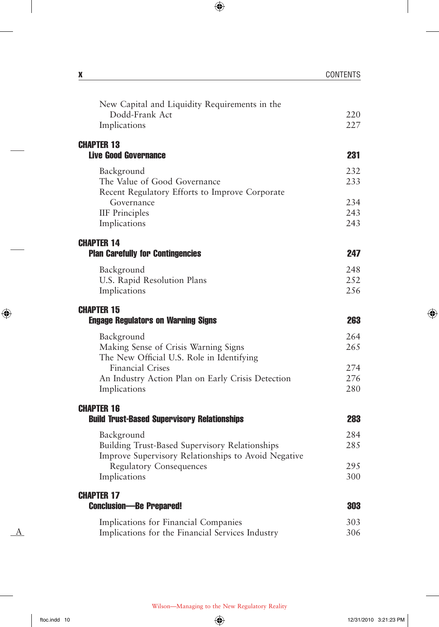| X                                                                                                                                                            | <b>CONTENTS</b>    |
|--------------------------------------------------------------------------------------------------------------------------------------------------------------|--------------------|
| New Capital and Liquidity Requirements in the<br>Dodd-Frank Act<br>Implications                                                                              | 220<br>227         |
| <b>CHAPTER 13</b><br><b>Live Good Governance</b>                                                                                                             | 231                |
| Background<br>The Value of Good Governance<br>Recent Regulatory Efforts to Improve Corporate                                                                 | 232<br>233         |
| Governance<br><b>IIF</b> Principles<br>Implications                                                                                                          | 234<br>243<br>243  |
| <b>CHAPTER 14</b><br><b>Plan Carefully for Contingencies</b>                                                                                                 | 247                |
| Background<br>U.S. Rapid Resolution Plans<br>Implications                                                                                                    | 248<br>252<br>2.56 |
| <b>CHAPTER 15</b><br><b>Engage Regulators on Warning Signs</b>                                                                                               | 263                |
| Background<br>Making Sense of Crisis Warning Signs<br>The New Official U.S. Role in Identifying                                                              | 264<br>265         |
| <b>Financial Crises</b><br>An Industry Action Plan on Early Crisis Detection<br>Implications                                                                 | 274<br>276<br>280  |
| <b>CHAPTER 16</b><br><b>Build Trust-Based Supervisory Relationships</b>                                                                                      | 283                |
| Background<br><b>Building Trust-Based Supervisory Relationships</b><br>Improve Supervisory Relationships to Avoid Negative<br><b>Regulatory Consequences</b> | 284<br>285<br>295  |
| Implications<br><b>CHAPTER 17</b><br><b>Conclusion-Be Prepared!</b>                                                                                          | 300<br>303         |
| Implications for Financial Companies<br>Implications for the Financial Services Industry                                                                     | 303<br>306         |

 $\_$ 

 $\bigoplus$ 

 $\overline{\phantom{a}}$ 

 $\overline{\phantom{a}}$ 

 $\bigoplus$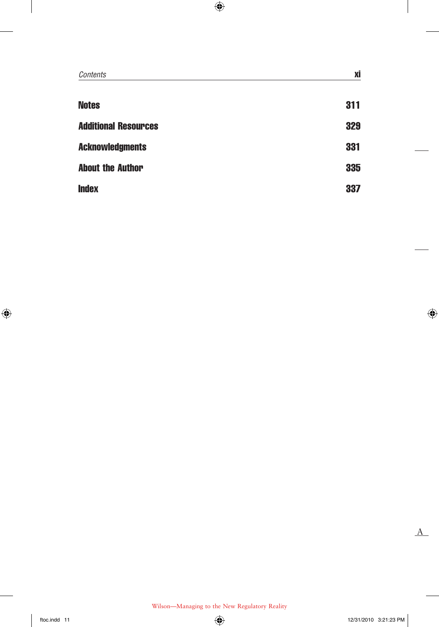| Contents                    | Xİ  |
|-----------------------------|-----|
|                             |     |
| <b>Notes</b>                | 311 |
| <b>Additional Resources</b> | 329 |
| <b>Acknowledgments</b>      | 331 |
| <b>About the Author</b>     | 335 |
| <b>Index</b>                | 337 |

 $\overline{\phantom{a}}$ 

 $\bigoplus$ 

 $A$ 

 $\bigoplus$ 

 $\overline{\phantom{a}}$